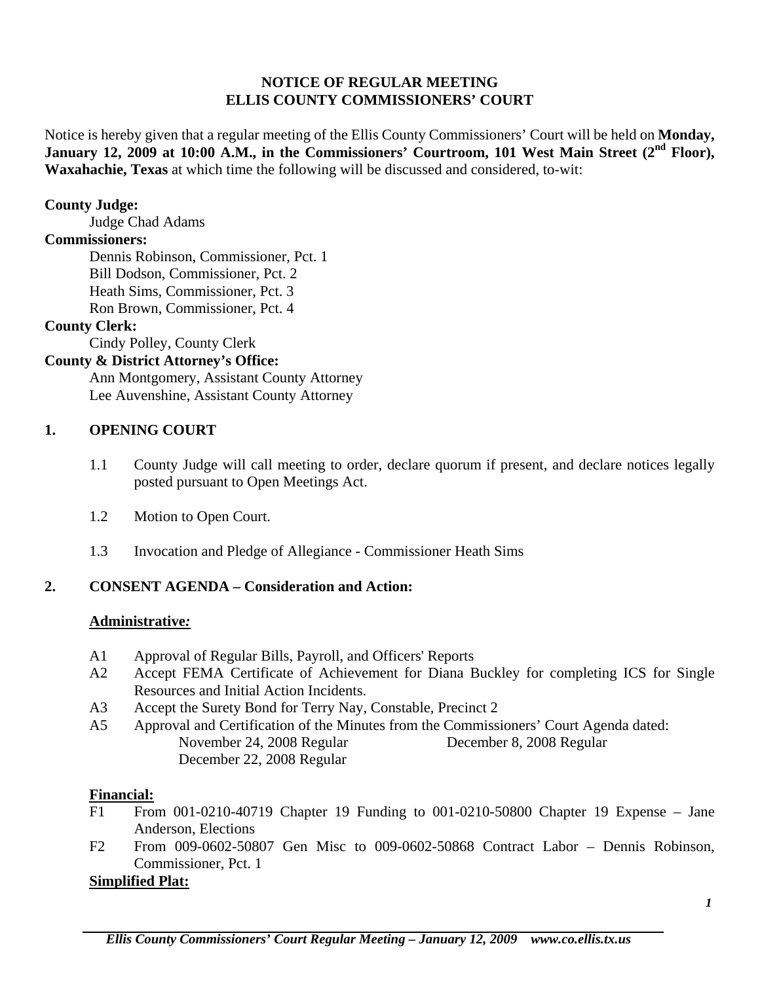## **NOTICE OF REGULAR MEETING ELLIS COUNTY COMMISSIONERS' COURT**

Notice is hereby given that a regular meeting of the Ellis County Commissioners' Court will be held on **Monday,**  January 12, 2009 at 10:00 A.M., in the Commissioners' Courtroom, 101 West Main Street (2<sup>nd</sup> Floor), **Waxahachie, Texas** at which time the following will be discussed and considered, to-wit:

#### **County Judge:**

Judge Chad Adams

#### **Commissioners:**

 Dennis Robinson, Commissioner, Pct. 1 Bill Dodson, Commissioner, Pct. 2 Heath Sims, Commissioner, Pct. 3 Ron Brown, Commissioner, Pct. 4

### **County Clerk:**

Cindy Polley, County Clerk

## **County & District Attorney's Office:**

 Ann Montgomery, Assistant County Attorney Lee Auvenshine, Assistant County Attorney

## **1. OPENING COURT**

- 1.1 County Judge will call meeting to order, declare quorum if present, and declare notices legally posted pursuant to Open Meetings Act.
- 1.2 Motion to Open Court.
- 1.3 Invocation and Pledge of Allegiance Commissioner Heath Sims

## **2. CONSENT AGENDA – Consideration and Action:**

### **Administrative***:*

- A1 Approval of Regular Bills, Payroll, and Officers' Reports
- A2 Accept FEMA Certificate of Achievement for Diana Buckley for completing ICS for Single Resources and Initial Action Incidents.
- A3 Accept the Surety Bond for Terry Nay, Constable, Precinct 2
- A5 Approval and Certification of the Minutes from the Commissioners' Court Agenda dated: November 24, 2008 Regular December 8, 2008 Regular December 22, 2008 Regular

### **Financial:**

- F1 From 001-0210-40719 Chapter 19 Funding to 001-0210-50800 Chapter 19 Expense Jane Anderson, Elections
- F2 From 009-0602-50807 Gen Misc to 009-0602-50868 Contract Labor Dennis Robinson, Commissioner, Pct. 1

### **Simplified Plat:**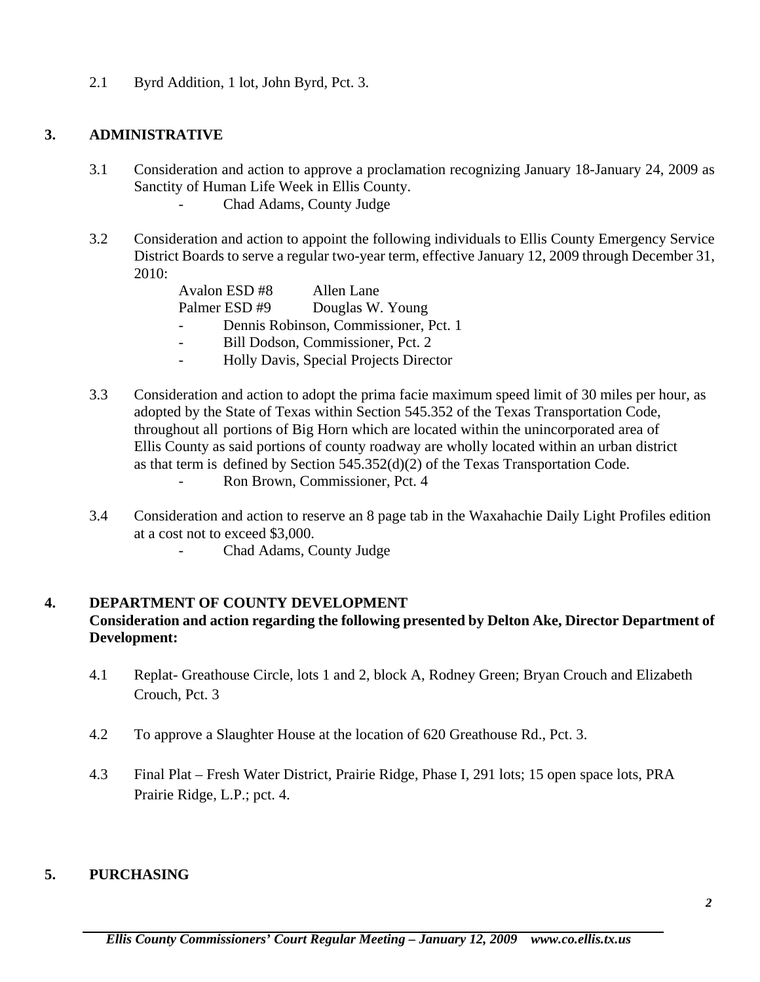2.1 Byrd Addition, 1 lot, John Byrd, Pct. 3.

#### **3. ADMINISTRATIVE**

- 3.1 Consideration and action to approve a proclamation recognizing January 18-January 24, 2009 as Sanctity of Human Life Week in Ellis County.
	- Chad Adams, County Judge
- 3.2 Consideration and action to appoint the following individuals to Ellis County Emergency Service District Boards to serve a regular two-year term, effective January 12, 2009 through December 31, 2010:

|                          | Avalon ESD#8 | Allen Lane                            |
|--------------------------|--------------|---------------------------------------|
|                          | Palmer ESD#9 | Douglas W. Young                      |
|                          |              | Dennis Robinson, Commissioner, Pct. 1 |
| $\overline{\phantom{0}}$ |              | Bill Dodson, Commissioner, Pct. 2     |

- Holly Davis, Special Projects Director
- 3.3 Consideration and action to adopt the prima facie maximum speed limit of 30 miles per hour, as adopted by the State of Texas within Section 545.352 of the Texas Transportation Code, throughout all portions of Big Horn which are located within the unincorporated area of Ellis County as said portions of county roadway are wholly located within an urban district as that term is defined by Section 545.352(d)(2) of the Texas Transportation Code.
	- Ron Brown, Commissioner, Pct. 4
- 3.4 Consideration and action to reserve an 8 page tab in the Waxahachie Daily Light Profiles edition at a cost not to exceed \$3,000.
	- Chad Adams, County Judge

## **4. DEPARTMENT OF COUNTY DEVELOPMENT Consideration and action regarding the following presented by Delton Ake, Director Department of Development:**

- 4.1 Replat- Greathouse Circle, lots 1 and 2, block A, Rodney Green; Bryan Crouch and Elizabeth Crouch, Pct. 3
- 4.2 To approve a Slaughter House at the location of 620 Greathouse Rd., Pct. 3.
- 4.3 Final Plat Fresh Water District, Prairie Ridge, Phase I, 291 lots; 15 open space lots, PRA Prairie Ridge, L.P.; pct. 4.

#### **5. PURCHASING**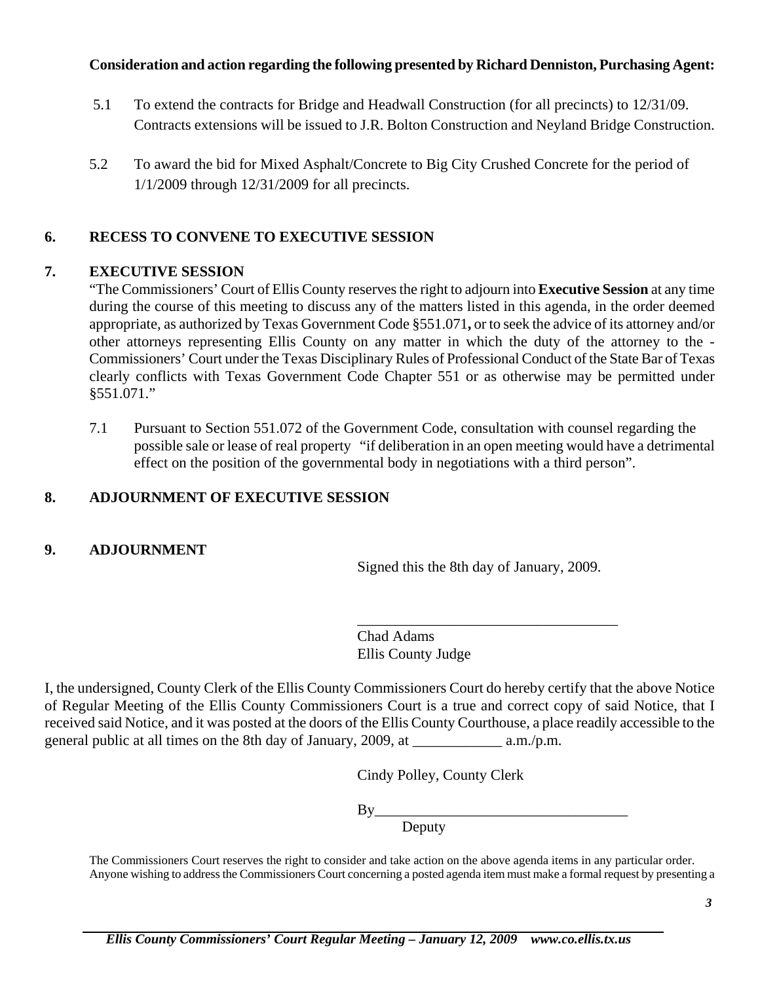## **Consideration and action regarding the following presented by Richard Denniston, Purchasing Agent:**

- 5.1 To extend the contracts for Bridge and Headwall Construction (for all precincts) to 12/31/09. Contracts extensions will be issued to J.R. Bolton Construction and Neyland Bridge Construction.
- 5.2 To award the bid for Mixed Asphalt/Concrete to Big City Crushed Concrete for the period of 1/1/2009 through 12/31/2009 for all precincts.

# **6. RECESS TO CONVENE TO EXECUTIVE SESSION**

## **7. EXECUTIVE SESSION**

"The Commissioners' Court of Ellis County reserves the right to adjourn into **Executive Session** at any time during the course of this meeting to discuss any of the matters listed in this agenda, in the order deemed appropriate, as authorized by Texas Government Code §551.071**,** or to seek the advice of its attorney and/or other attorneys representing Ellis County on any matter in which the duty of the attorney to the - Commissioners' Court under the Texas Disciplinary Rules of Professional Conduct of the State Bar of Texas clearly conflicts with Texas Government Code Chapter 551 or as otherwise may be permitted under §551.071."

7.1 Pursuant to Section 551.072 of the Government Code, consultation with counsel regarding the possible sale or lease of real property "if deliberation in an open meeting would have a detrimental effect on the position of the governmental body in negotiations with a third person".

# **8. ADJOURNMENT OF EXECUTIVE SESSION**

## **9. ADJOURNMENT**

Signed this the 8th day of January, 2009.

\_\_\_\_\_\_\_\_\_\_\_\_\_\_\_\_\_\_\_\_\_\_\_\_\_\_\_\_\_\_\_\_\_\_\_

Chad Adams Ellis County Judge

I, the undersigned, County Clerk of the Ellis County Commissioners Court do hereby certify that the above Notice of Regular Meeting of the Ellis County Commissioners Court is a true and correct copy of said Notice, that I received said Notice, and it was posted at the doors of the Ellis County Courthouse, a place readily accessible to the general public at all times on the 8th day of January, 2009, at \_\_\_\_\_\_\_\_\_\_\_\_ a.m./p.m.

Cindy Polley, County Clerk

By Deputy Deputy Deputy

> The Commissioners Court reserves the right to consider and take action on the above agenda items in any particular order. Anyone wishing to address the Commissioners Court concerning a posted agenda item must make a formal request by presenting a